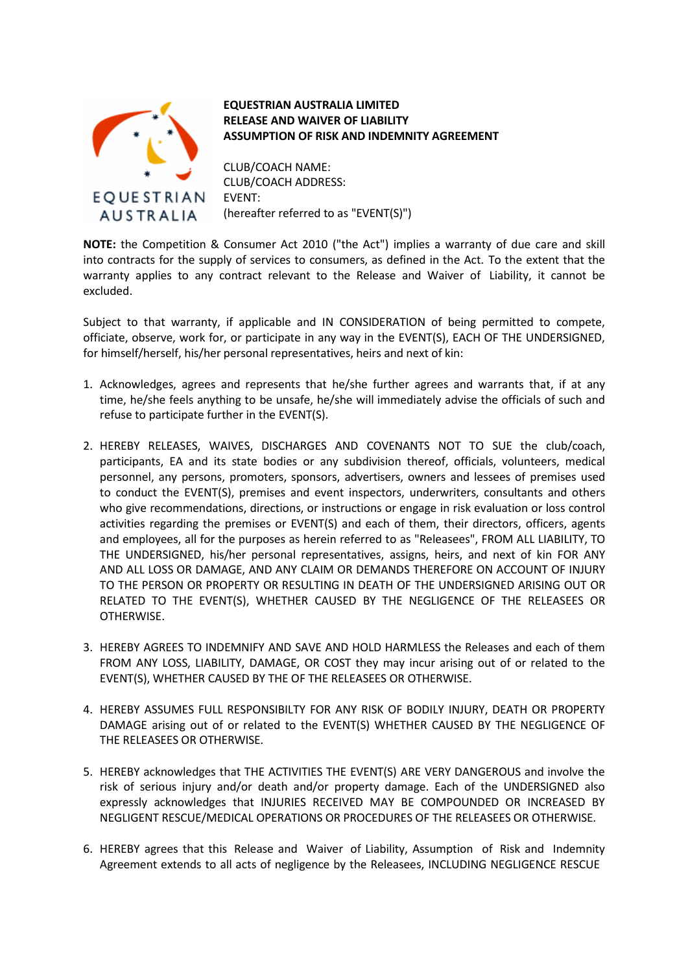

## **EQUESTRIAN AUSTRALIA LIMITED RELEASE AND WAIVER OF LIABILITY ASSUMPTION OF RISK AND INDEMNITY AGREEMENT**

CLUB/COACH NAME: CLUB/COACH ADDRESS: EVENT: (hereafter referred to as "EVENT(S)")

**NOTE:** the Competition & Consumer Act 2010 ("the Act") implies a warranty of due care and skill into contracts for the supply of services to consumers, as defined in the Act. To the extent that the warranty applies to any contract relevant to the Release and Waiver of Liability, it cannot be excluded.

Subject to that warranty, if applicable and IN CONSIDERATION of being permitted to compete, officiate, observe, work for, or participate in any way in the EVENT(S), EACH OF THE UNDERSIGNED, for himself/herself, his/her personal representatives, heirs and next of kin:

- 1. Acknowledges, agrees and represents that he/she further agrees and warrants that, if at any time, he/she feels anything to be unsafe, he/she will immediately advise the officials of such and refuse to participate further in the EVENT(S).
- 2. HEREBY RELEASES, WAIVES, DISCHARGES AND COVENANTS NOT TO SUE the club/coach, participants, EA and its state bodies or any subdivision thereof, officials, volunteers, medical personnel, any persons, promoters, sponsors, advertisers, owners and lessees of premises used to conduct the EVENT(S), premises and event inspectors, underwriters, consultants and others who give recommendations, directions, or instructions or engage in risk evaluation or loss control activities regarding the premises or EVENT(S) and each of them, their directors, officers, agents and employees, all for the purposes as herein referred to as "Releasees", FROM ALL LIABILITY, TO THE UNDERSIGNED, his/her personal representatives, assigns, heirs, and next of kin FOR ANY AND ALL LOSS OR DAMAGE, AND ANY CLAIM OR DEMANDS THEREFORE ON ACCOUNT OF INJURY TO THE PERSON OR PROPERTY OR RESULTING IN DEATH OF THE UNDERSIGNED ARISING OUT OR RELATED TO THE EVENT(S), WHETHER CAUSED BY THE NEGLIGENCE OF THE RELEASEES OR OTHERWISE.
- 3. HEREBY AGREES TO INDEMNIFY AND SAVE AND HOLD HARMLESS the Releases and each of them FROM ANY LOSS, LIABILITY, DAMAGE, OR COST they may incur arising out of or related to the EVENT(S), WHETHER CAUSED BY THE OF THE RELEASEES OR OTHERWISE.
- 4. HEREBY ASSUMES FULL RESPONSIBILTY FOR ANY RISK OF BODILY INJURY, DEATH OR PROPERTY DAMAGE arising out of or related to the EVENT(S) WHETHER CAUSED BY THE NEGLIGENCE OF THE RELEASEES OR OTHERWISE.
- 5. HEREBY acknowledges that THE ACTIVITIES THE EVENT(S) ARE VERY DANGEROUS and involve the risk of serious injury and/or death and/or property damage. Each of the UNDERSIGNED also expressly acknowledges that INJURIES RECEIVED MAY BE COMPOUNDED OR INCREASED BY NEGLIGENT RESCUE/MEDICAL OPERATIONS OR PROCEDURES OF THE RELEASEES OR OTHERWISE.
- 6. HEREBY agrees that this Release and Waiver of Liability, Assumption of Risk and Indemnity Agreement extends to all acts of negligence by the Releasees, INCLUDING NEGLIGENCE RESCUE